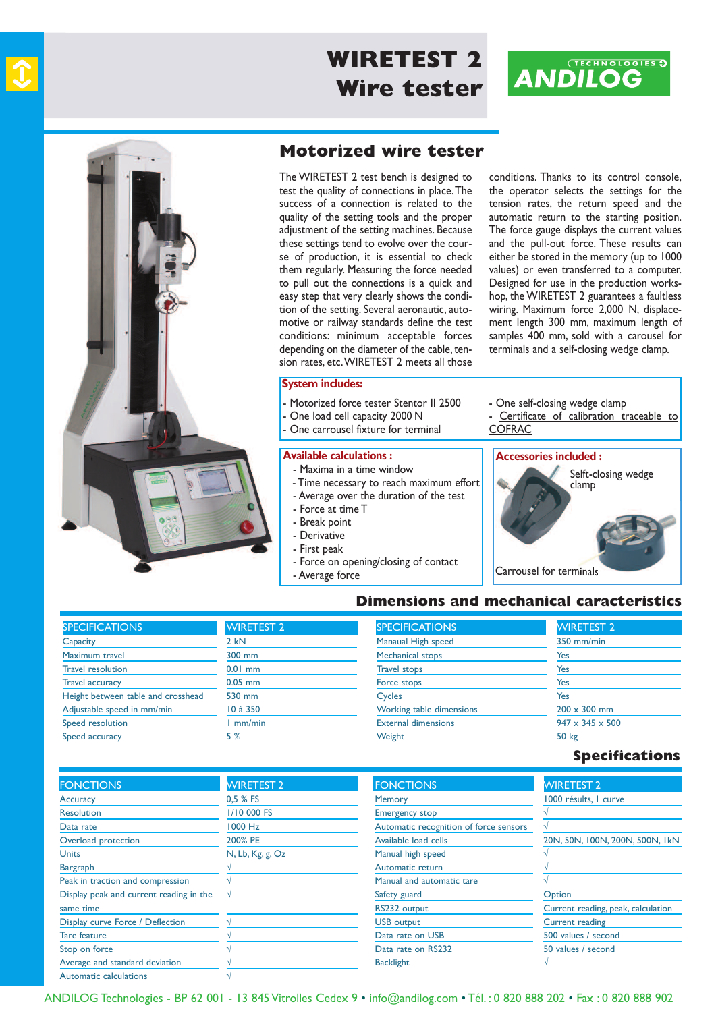

# **CENTOR First WIRETEST 2 Dynamomètre Strategy Wire tester**





### **Motorized wire tester**

The WIRETEST 2 test bench is designed to test the quality of connections in place.The success of a connection is related to the quality of the setting tools and the proper adjustment of the setting machines. Because these settings tend to evolve over the course of production, it is essential to check them regularly. Measuring the force needed to pull out the connections is a quick and easy step that very clearly shows the condition of the setting. Several aeronautic, automotive or railway standards define the test conditions: minimum acceptable forces depending on the diameter of the cable, tension rates, etc.WIRETEST 2 meets all those

#### **System includes:**

- Motorized force tester Stentor II 2500
- One load cell capacity 2000 N
- One carrousel fixture for terminal

#### **Available calculations :**

- Maxima in a time window
- Time necessary to reach maximum effort
- Average over the duration of the test
- force at time T
- Break point

- Average force

- Derivative
- first peak
- force on opening/closing of contact

conditions. Thanks to its control console, the operator selects the settings for the tension rates, the return speed and the automatic return to the starting position. The force gauge displays the current values and the pull-out force. These results can either be stored in the memory (up to 1000 values) or even transferred to a computer. Designed for use in the production workshop, the WIRETEST 2 guarantees a faultless wiring. Maximum force 2,000 N, displacement length 300 mm, maximum length of samples 400 mm, sold with a carousel for terminals and a self-closing wedge clamp.

#### - One self-closing wedge clamp Certificate of calibration traceable to **COFRAC**

### **Accessories included :**

**Dimensions and mechanical caracteristics**



#### **SPECIFICATIONS Capacity** Maximum travel Travel resolution Travel accuracy Height between table and crosshead Adjustable speed in mm/min Speed resolution Speed accuracy WIRETEST 2  $2$  kN 300 mm 0.01 mm 0.05 mm 530 mm 10 à 350 1 mm/min 5 % **SPECIFICATIONS** Manaual High speed Mechanical stops Travel stops force stops **Cycles** Working table dimensions External dimensions **Weight** WIRETEST 2 350 mm/min Yes Yes Yes Yes  $200 \times 300$  mm  $947 \times 345 \times 500$ 50 kg

#### **Specifications**

| <b>FONCTIONS</b>                        | <b>WIRETEST 2</b> | <b>FONCTIONS</b>                       | <b>WIRETEST 2</b>                  |
|-----------------------------------------|-------------------|----------------------------------------|------------------------------------|
| <b>Accuracy</b>                         | 0,5 % FS          | <b>Memory</b>                          | 1000 résults, I curve              |
| <b>Resolution</b>                       | 1/10 000 FS       | <b>Emergency stop</b>                  |                                    |
| Data rate                               | 1000 Hz           | Automatic recognition of force sensors |                                    |
| Overload protection                     | 200% PE           | Available load cells                   | 20N, 50N, 100N, 200N, 500N, 1kN    |
| <b>Units</b>                            | N, Lb, Kg, g, Oz  | Manual high speed                      |                                    |
| <b>Bargraph</b>                         |                   | Automatic return                       |                                    |
| Peak in traction and compression        |                   | Manual and automatic tare              |                                    |
| Display peak and current reading in the |                   | Safety guard                           | Option                             |
| same time                               |                   | RS232 output                           | Current reading, peak, calculation |
| Display curve Force / Deflection        |                   | <b>USB</b> output                      | <b>Current reading</b>             |
| <b>Tare feature</b>                     |                   | Data rate on USB                       | 500 values / second                |
| Stop on force                           |                   | Data rate on RS232                     | 50 values / second                 |
| Average and standard deviation          |                   | <b>Backlight</b>                       |                                    |
| Automatic calculations                  |                   |                                        |                                    |

anDILoG Technologies - Bp 62 001 - 13 845 Vitrolles cedex 9 • info@andilog.com • Tél. : 0 820 888 202 • fax : 0 820 888 902